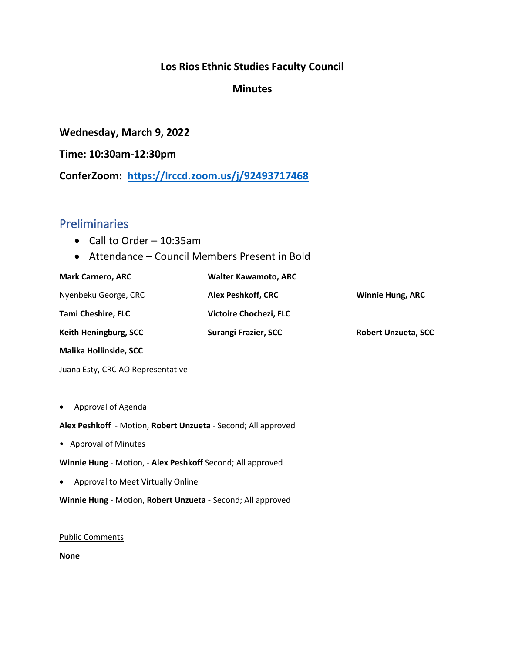#### **Los Rios Ethnic Studies Faculty Council**

#### **Minutes**

**Wednesday, March 9, 2022**

**Time: 10:30am-12:30pm**

**ConferZoom: <https://lrccd.zoom.us/j/92493717468>**

#### Preliminaries

- Call to Order 10:35am
- Attendance Council Members Present in Bold

| <b>Mark Carnero, ARC</b>          | <b>Walter Kawamoto, ARC</b> |                            |
|-----------------------------------|-----------------------------|----------------------------|
| Nyenbeku George, CRC              | Alex Peshkoff, CRC          | <b>Winnie Hung, ARC</b>    |
| <b>Tami Cheshire, FLC</b>         | Victoire Chochezi, FLC      |                            |
| Keith Heningburg, SCC             | Surangi Frazier, SCC        | <b>Robert Unzueta, SCC</b> |
| <b>Malika Hollinside, SCC</b>     |                             |                            |
| Juana Esty, CRC AO Representative |                             |                            |

• Approval of Agenda

**Alex Peshkoff** - Motion, **Robert Unzueta** - Second; All approved

• Approval of Minutes

**Winnie Hung** - Motion, - **Alex Peshkoff** Second; All approved

• Approval to Meet Virtually Online

**Winnie Hung** - Motion, **Robert Unzueta** - Second; All approved

#### Public Comments

**None**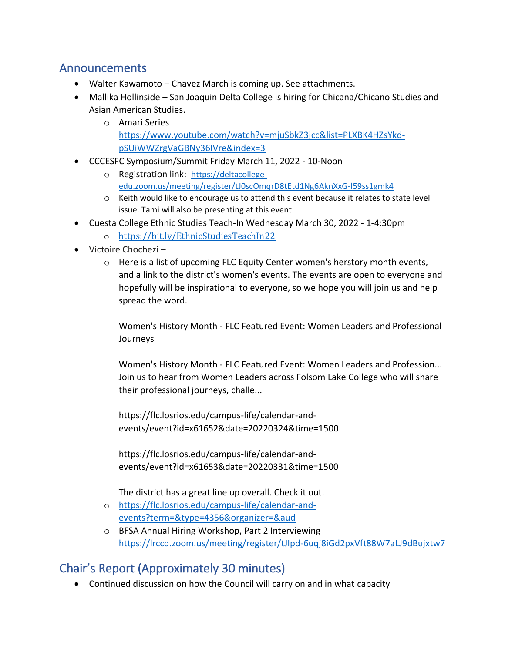## Announcements

- Walter Kawamoto Chavez March is coming up. See attachments.
- Mallika Hollinside San Joaquin Delta College is hiring for Chicana/Chicano Studies and Asian American Studies.
	- o Amari Series
		- [https://www.youtube.com/watch?v=mjuSbkZ3jcc&list=PLXBK4HZsYkd](https://www.youtube.com/watch?v=mjuSbkZ3jcc&list=PLXBK4HZsYkd-pSUiWWZrgVaGBNy36IVre&index=3)[pSUiWWZrgVaGBNy36IVre&index=3](https://www.youtube.com/watch?v=mjuSbkZ3jcc&list=PLXBK4HZsYkd-pSUiWWZrgVaGBNy36IVre&index=3)
- CCCESFC Symposium/Summit Friday March 11, 2022 10-Noon
	- o Registration link: [https://deltacollege](https://deltacollege-edu.zoom.us/meeting/register/tJ0scOmqrD8tEtd1Ng6AknXxG-l59ss1gmk4)[edu.zoom.us/meeting/register/tJ0scOmqrD8tEtd1Ng6AknXxG-l59ss1gmk4](https://deltacollege-edu.zoom.us/meeting/register/tJ0scOmqrD8tEtd1Ng6AknXxG-l59ss1gmk4)
		- o Keith would like to encourage us to attend this event because it relates to state level issue. Tami will also be presenting at this event.
- Cuesta College Ethnic Studies Teach-In Wednesday March 30, 2022 1-4:30pm
	- o <https://bit.ly/EthnicStudiesTeachIn22>
- Victoire Chochezi
	- $\circ$  Here is a list of upcoming FLC Equity Center women's herstory month events, and a link to the district's women's events. The events are open to everyone and hopefully will be inspirational to everyone, so we hope you will join us and help spread the word.

Women's History Month - FLC Featured Event: Women Leaders and Professional Journeys

Women's History Month - FLC Featured Event: Women Leaders and Profession... Join us to hear from Women Leaders across Folsom Lake College who will share their professional journeys, challe...

https://flc.losrios.edu/campus-life/calendar-andevents/event?id=x61652&date=20220324&time=1500

https://flc.losrios.edu/campus-life/calendar-andevents/event?id=x61653&date=20220331&time=1500

The district has a great line up overall. Check it out.

- o [https://flc.losrios.edu/campus-life/calendar-and](https://flc.losrios.edu/campus-life/calendar-and-events?term=&type=4356&organizer=&aud)[events?term=&type=4356&organizer=&aud](https://flc.losrios.edu/campus-life/calendar-and-events?term=&type=4356&organizer=&aud)
- o BFSA Annual Hiring Workshop, Part 2 Interviewing <https://lrccd.zoom.us/meeting/register/tJIpd-6uqj8iGd2pxVft88W7aLJ9dBujxtw7>

# Chair's Report (Approximately 30 minutes)

• Continued discussion on how the Council will carry on and in what capacity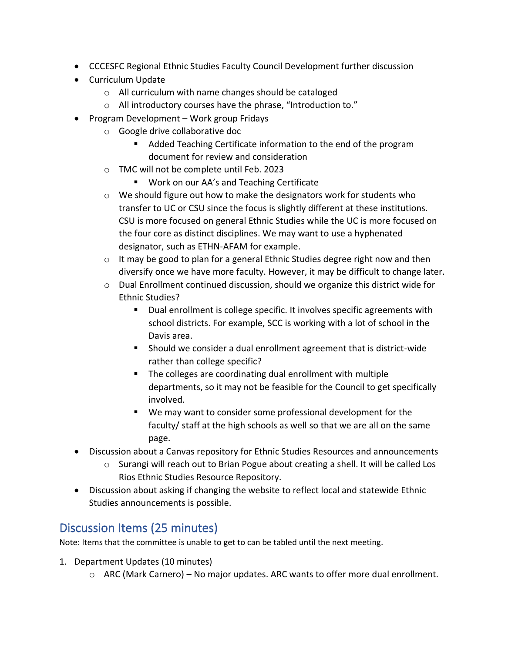- CCCESFC Regional Ethnic Studies Faculty Council Development further discussion
- Curriculum Update
	- o All curriculum with name changes should be cataloged
	- o All introductory courses have the phrase, "Introduction to."
- Program Development Work group Fridays
	- o Google drive collaborative doc
		- Added Teaching Certificate information to the end of the program document for review and consideration
	- o TMC will not be complete until Feb. 2023
		- Work on our AA's and Teaching Certificate
	- $\circ$  We should figure out how to make the designators work for students who transfer to UC or CSU since the focus is slightly different at these institutions. CSU is more focused on general Ethnic Studies while the UC is more focused on the four core as distinct disciplines. We may want to use a hyphenated designator, such as ETHN-AFAM for example.
	- $\circ$  It may be good to plan for a general Ethnic Studies degree right now and then diversify once we have more faculty. However, it may be difficult to change later.
	- $\circ$  Dual Enrollment continued discussion, should we organize this district wide for Ethnic Studies?
		- Dual enrollment is college specific. It involves specific agreements with school districts. For example, SCC is working with a lot of school in the Davis area.
		- Should we consider a dual enrollment agreement that is district-wide rather than college specific?
		- The colleges are coordinating dual enrollment with multiple departments, so it may not be feasible for the Council to get specifically involved.
		- We may want to consider some professional development for the faculty/ staff at the high schools as well so that we are all on the same page.
- Discussion about a Canvas repository for Ethnic Studies Resources and announcements
	- o Surangi will reach out to Brian Pogue about creating a shell. It will be called Los Rios Ethnic Studies Resource Repository.
- Discussion about asking if changing the website to reflect local and statewide Ethnic Studies announcements is possible.

# Discussion Items (25 minutes)

Note: Items that the committee is unable to get to can be tabled until the next meeting.

- 1. Department Updates (10 minutes)
	- $\circ$  ARC (Mark Carnero) No major updates. ARC wants to offer more dual enrollment.